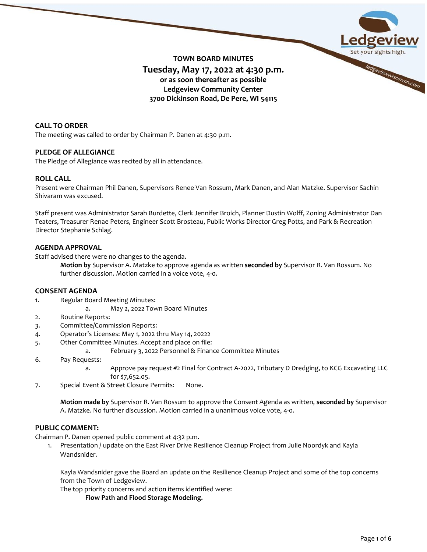

# **CALL TO ORDER**

The meeting was called to order by Chairman P. Danen at 4:30 p.m.

# **PLEDGE OF ALLEGIANCE**

The Pledge of Allegiance was recited by all in attendance.

# **ROLL CALL**

Present were Chairman Phil Danen, Supervisors Renee Van Rossum, Mark Danen, and Alan Matzke. Supervisor Sachin Shivaram was excused.

Staff present was Administrator Sarah Burdette, Clerk Jennifer Broich, Planner Dustin Wolff, Zoning Administrator Dan Teaters, Treasurer Renae Peters, Engineer Scott Brosteau, Public Works Director Greg Potts, and Park & Recreation Director Stephanie Schlag.

# **AGENDA APPROVAL**

Staff advised there were no changes to the agenda.

**Motion by** Supervisor A. Matzke to approve agenda as written **seconded by** Supervisor R. Van Rossum. No further discussion. Motion carried in a voice vote, 4-0.

# **CONSENT AGENDA**

- 1. Regular Board Meeting Minutes:
	- a. May 2, 2022 Town Board Minutes
- 2. Routine Reports:
- 3. Committee/Commission Reports:
- 4. Operator's Licenses: May 1, 2022 thru May 14, 20222
- 5. Other Committee Minutes. Accept and place on file:
	- a. February 3, 2022 Personnel & Finance Committee Minutes
- 6. Pay Requests:
	- a. Approve pay request #2 Final for Contract A-2022, Tributary D Dredging, to KCG Excavating LLC for \$7,652.05.
- 7. Special Event & Street Closure Permits: None.

**Motion made by** Supervisor R. Van Rossum to approve the Consent Agenda as written, **seconded by** Supervisor A. Matzke. No further discussion. Motion carried in a unanimous voice vote, 4-0.

# **PUBLIC COMMENT:**

Chairman P. Danen opened public comment at 4:32 p.m.

1. Presentation / update on the East River Drive Resilience Cleanup Project from Julie Noordyk and Kayla Wandsnider.

Kayla Wandsnider gave the Board an update on the Resilience Cleanup Project and some of the top concerns from the Town of Ledgeview.

The top priority concerns and action items identified were:

**Flow Path and Flood Storage Modeling.**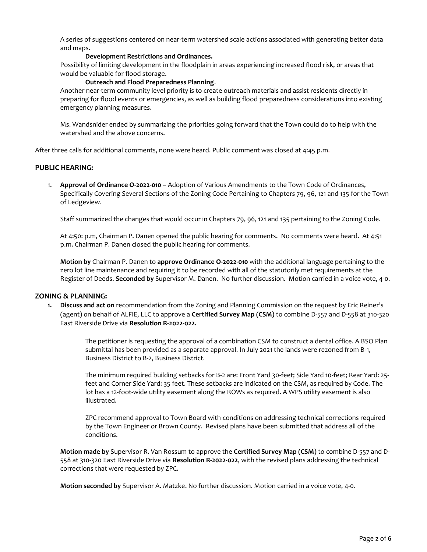A series of suggestions centered on near-term watershed scale actions associated with generating better data and maps.

#### **Development Restrictions and Ordinances.**

Possibility of limiting development in the floodplain in areas experiencing increased flood risk, or areas that would be valuable for flood storage.

#### **Outreach and Flood Preparedness Planning**.

Another near-term community level priority is to create outreach materials and assist residents directly in preparing for flood events or emergencies, as well as building flood preparedness considerations into existing emergency planning measures.

Ms. Wandsnider ended by summarizing the priorities going forward that the Town could do to help with the watershed and the above concerns.

After three calls for additional comments, none were heard. Public comment was closed at 4:45 p.m.

# **PUBLIC HEARING:**

1. **Approval of Ordinance O-2022-010** – Adoption of Various Amendments to the Town Code of Ordinances, Specifically Covering Several Sections of the Zoning Code Pertaining to Chapters 79, 96, 121 and 135 for the Town of Ledgeview.

Staff summarized the changes that would occur in Chapters 79, 96, 121 and 135 pertaining to the Zoning Code.

At 4:50: p.m, Chairman P. Danen opened the public hearing for comments. No comments were heard. At 4:51 p.m. Chairman P. Danen closed the public hearing for comments.

**Motion by** Chairman P. Danen to **approve Ordinance O-2022-010** with the additional language pertaining to the zero lot line maintenance and requiring it to be recorded with all of the statutorily met requirements at the Register of Deeds. **Seconded by** Supervisor M. Danen. No further discussion. Motion carried in a voice vote, 4-0.

#### **ZONING & PLANNING:**

**1. Discuss and act on** recommendation from the Zoning and Planning Commission on the request by Eric Reiner's (agent) on behalf of ALFIE, LLC to approve a **Certified Survey Map (CSM)** to combine D-557 and D-558 at 310-320 East Riverside Drive via **Resolution R-2022-022.**

> The petitioner is requesting the approval of a combination CSM to construct a dental office. A BSO Plan submittal has been provided as a separate approval. In July 2021 the lands were rezoned from B-1, Business District to B-2, Business District.

> The minimum required building setbacks for B-2 are: Front Yard 30-feet; Side Yard 10-feet; Rear Yard: 25 feet and Corner Side Yard: 35 feet. These setbacks are indicated on the CSM, as required by Code. The lot has a 12-foot-wide utility easement along the ROWs as required. A WPS utility easement is also illustrated.

> ZPC recommend approval to Town Board with conditions on addressing technical corrections required by the Town Engineer or Brown County. Revised plans have been submitted that address all of the conditions.

**Motion made by** Supervisor R. Van Rossum to approve the **Certified Survey Map (CSM)** to combine D-557 and D-558 at 310-320 East Riverside Drive via **Resolution R-2022-022**, with the revised plans addressing the technical corrections that were requested by ZPC.

**Motion seconded by** Supervisor A. Matzke. No further discussion. Motion carried in a voice vote, 4-0.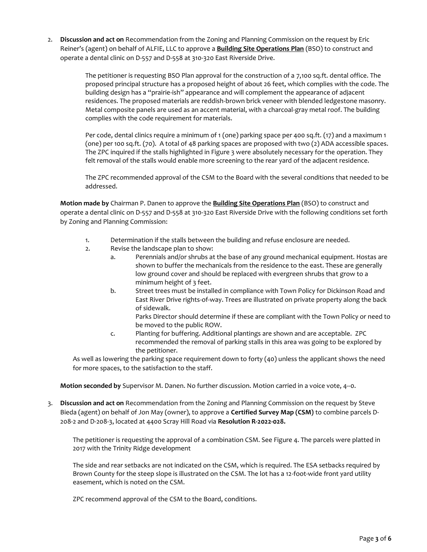2. **Discussion and act on** Recommendation from the Zoning and Planning Commission on the request by Eric Reiner's (agent) on behalf of ALFIE, LLC to approve a **Building Site Operations Plan** (BSO) to construct and operate a dental clinic on D-557 and D-558 at 310-320 East Riverside Drive.

> The petitioner is requesting BSO Plan approval for the construction of a 7,100 sq.ft. dental office. The proposed principal structure has a proposed height of about 26 feet, which complies with the code. The building design has a "prairie-ish" appearance and will complement the appearance of adjacent residences. The proposed materials are reddish-brown brick veneer with blended ledgestone masonry. Metal composite panels are used as an accent material, with a charcoal-gray metal roof. The building complies with the code requirement for materials.

> Per code, dental clinics require a minimum of 1 (one) parking space per 400 sq.ft. (17) and a maximum 1 (one) per 100 sq.ft. (70). A total of 48 parking spaces are proposed with two (2) ADA accessible spaces. The ZPC inquired if the stalls highlighted in Figure 3 were absolutely necessary for the operation. They felt removal of the stalls would enable more screening to the rear yard of the adjacent residence.

> The ZPC recommended approval of the CSM to the Board with the several conditions that needed to be addressed.

**Motion made by** Chairman P. Danen to approve the **Building Site Operations Plan** (BSO) to construct and operate a dental clinic on D-557 and D-558 at 310-320 East Riverside Drive with the following conditions set forth by Zoning and Planning Commission:

- 1. Determination if the stalls between the building and refuse enclosure are needed.
- 2. Revise the landscape plan to show:
	- a. Perennials and/or shrubs at the base of any ground mechanical equipment. Hostas are shown to buffer the mechanicals from the residence to the east. These are generally low ground cover and should be replaced with evergreen shrubs that grow to a minimum height of 3 feet.
	- b. Street trees must be installed in compliance with Town Policy for Dickinson Road and East River Drive rights-of-way. Trees are illustrated on private property along the back of sidewalk.

Parks Director should determine if these are compliant with the Town Policy or need to be moved to the public ROW.

c. Planting for buffering. Additional plantings are shown and are acceptable. ZPC recommended the removal of parking stalls in this area was going to be explored by the petitioner.

As well as lowering the parking space requirement down to forty (40) unless the applicant shows the need for more spaces, to the satisfaction to the staff.

**Motion seconded by** Supervisor M. Danen. No further discussion. Motion carried in a voice vote, 4--0.

3. **Discussion and act on** Recommendation from the Zoning and Planning Commission on the request by Steve Bieda (agent) on behalf of Jon May (owner), to approve a **Certified Survey Map (CSM)** to combine parcels D-208-2 and D-208-3, located at 4400 Scray Hill Road via **Resolution R-2022-028.**

The petitioner is requesting the approval of a combination CSM. See Figure 4. The parcels were platted in 2017 with the Trinity Ridge development

The side and rear setbacks are not indicated on the CSM, which is required. The ESA setbacks required by Brown County for the steep slope is illustrated on the CSM. The lot has a 12-foot-wide front yard utility easement, which is noted on the CSM.

ZPC recommend approval of the CSM to the Board, conditions.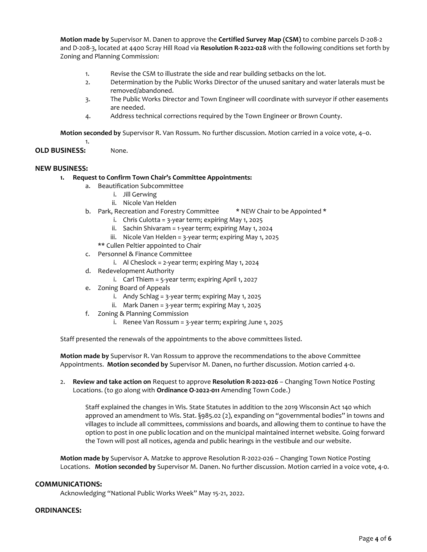**Motion made by** Supervisor M. Danen to approve the **Certified Survey Map (CSM)** to combine parcels D-208-2 and D-208-3, located at 4400 Scray Hill Road via **Resolution R-2022-028** with the following conditions set forth by Zoning and Planning Commission:

- 1. Revise the CSM to illustrate the side and rear building setbacks on the lot.
- 2. Determination by the Public Works Director of the unused sanitary and water laterals must be removed/abandoned.
- 3. The Public Works Director and Town Engineer will coordinate with surveyor if other easements are needed.
- 4. Address technical corrections required by the Town Engineer or Brown County.

**Motion seconded by** Supervisor R. Van Rossum. No further discussion. Motion carried in a voice vote, 4--0.

**OLD BUSINESS:** None.

1.

# **NEW BUSINESS:**

- **1. Request to Confirm Town Chair's Committee Appointments:**
	- a. Beautification Subcommittee
		- i. Jill Gerwing
		- ii. Nicole Van Helden
	- b. Park, Recreation and Forestry Committee \* NEW Chair to be Appointed \*
		- i. Chris Culotta = 3-year term; expiring May 1, 2025
		- ii. Sachin Shivaram = 1-year term; expiring May 1, 2024
		- iii. Nicole Van Helden = 3-year term; expiring May 1, 2025

\*\* Cullen Peltier appointed to Chair

- c. Personnel & Finance Committee
	- i. Al Cheslock = 2-year term; expiring May 1, 2024
- d. Redevelopment Authority
	- i. Carl Thiem = 5-year term; expiring April 1, 2027
- e. Zoning Board of Appeals
	- i. Andy Schlag = 3-year term; expiring May 1, 2025
	- ii. Mark Danen = 3-year term; expiring May 1, 2025
- f. Zoning & Planning Commission
	- i. Renee Van Rossum = 3-year term; expiring June 1, 2025

Staff presented the renewals of the appointments to the above committees listed.

**Motion made by** Supervisor R. Van Rossum to approve the recommendations to the above Committee Appointments. **Motion seconded by** Supervisor M. Danen, no further discussion. Motion carried 4-0.

2. **Review and take action on** Request to approve **Resolution R-2022-026** – Changing Town Notice Posting Locations. (to go along with **Ordinance O-2022-011** Amending Town Code.)

Staff explained the changes in Wis. State Statutes in addition to the 2019 Wisconsin Act 140 which approved an amendment to Wis. Stat. §985.02 (2), expanding on "governmental bodies" in towns and villages to include all committees, commissions and boards, and allowing them to continue to have the option to post in one public location and on the municipal maintained internet website. Going forward the Town will post all notices, agenda and public hearings in the vestibule and our website.

**Motion made by** Supervisor A. Matzke to approve Resolution R-2022-026 – Changing Town Notice Posting Locations. **Motion seconded by** Supervisor M. Danen. No further discussion. Motion carried in a voice vote, 4-0.

# **COMMUNICATIONS:**

Acknowledging "National Public Works Week" May 15-21, 2022.

# **ORDINANCES:**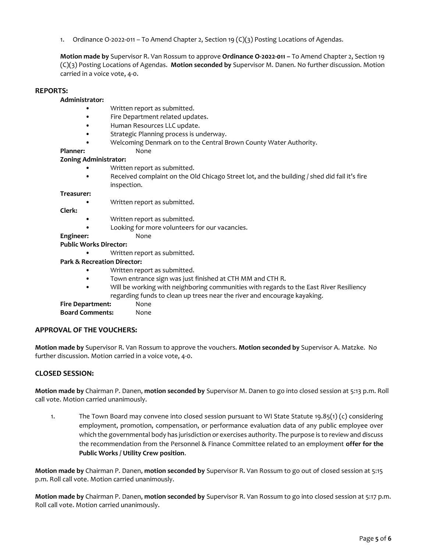1. Ordinance O-2022-011 – To Amend Chapter 2, Section 19 (C)(3) Posting Locations of Agendas.

**Motion made by** Supervisor R. Van Rossum to approve **Ordinance O-2022-011 –** To Amend Chapter 2, Section 19 (C)(3) Posting Locations of Agendas. **Motion seconded by** Supervisor M. Danen. No further discussion. Motion carried in a voice vote, 4-0.

### **REPORTS:**

**Administrator:**

- Written report as submitted.
- Fire Department related updates.
- Human Resources LLC update.
- Strategic Planning process is underway.
- Welcoming Denmark on to the Central Brown County Water Authority.

### Planner: None

### **Zoning Administrator:**

- Written report as submitted.
- Received complaint on the Old Chicago Street lot, and the building / shed did fail it's fire inspection.

#### **Treasurer:**

• Written report as submitted.

**Clerk:**

- Written report as submitted.
	- Looking for more volunteers for our vacancies.

Engineer: None

**Public Works Director:**

• Written report as submitted.

# **Park & Recreation Director:**

- Written report as submitted.
- Town entrance sign was just finished at CTH MM and CTH R.
- Will be working with neighboring communities with regards to the East River Resiliency regarding funds to clean up trees near the river and encourage kayaking.

# **Fire Department:** None

**Board Comments:** None

# **APPROVAL OF THE VOUCHERS:**

**Motion made by** Supervisor R. Van Rossum to approve the vouchers. **Motion seconded by** Supervisor A. Matzke. No further discussion. Motion carried in a voice vote, 4-0.

# **CLOSED SESSION:**

**Motion made by** Chairman P. Danen, **motion seconded by** Supervisor M. Danen to go into closed session at 5:13 p.m. Roll call vote. Motion carried unanimously.

1. The Town Board may convene into closed session pursuant to WI State Statute 19.85(1) (c) considering employment, promotion, compensation, or performance evaluation data of any public employee over which the governmental body has jurisdiction or exercises authority. The purpose is to review and discuss the recommendation from the Personnel & Finance Committee related to an employment **offer for the Public Works / Utility Crew position**.

**Motion made by** Chairman P. Danen, **motion seconded by** Supervisor R. Van Rossum to go out of closed session at 5:15 p.m. Roll call vote. Motion carried unanimously.

**Motion made by** Chairman P. Danen, **motion seconded by** Supervisor R. Van Rossum to go into closed session at 5:17 p.m. Roll call vote. Motion carried unanimously.